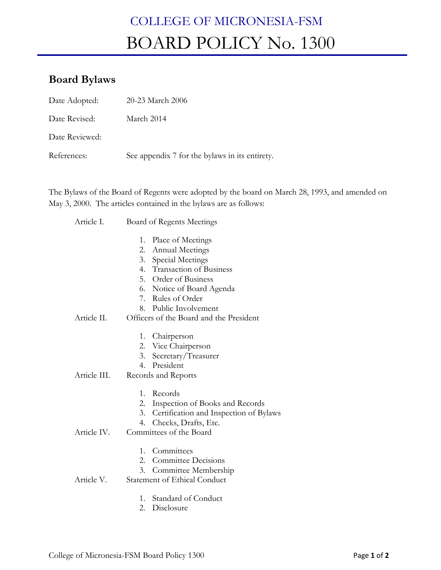# COLLEGE OF MICRONESIA-FSM BOARD POLICY No. 1300

## **Board Bylaws**

| Date Adopted:  | 20-23 March 2006                               |
|----------------|------------------------------------------------|
| Date Revised:  | March 2014                                     |
| Date Reviewed: |                                                |
| References:    | See appendix 7 for the bylaws in its entirety. |

The Bylaws of the Board of Regents were adopted by the board on March 28, 1993, and amended on May 3, 2000. The articles contained in the bylaws are as follows:

- Article I. Board of Regents Meetings
	- 1. Place of Meetings
	- 2. Annual Meetings
	- 3. Special Meetings
	- 4. Transaction of Business
	- 5. Order of Business
	- 6. Notice of Board Agenda
	- 7. Rules of Order
	- 8. Public Involvement

#### Article II. Officers of the Board and the President

- 1. Chairperson
- 2. Vice Chairperson
- 3. Secretary/Treasurer
- 4. President
- Article III. Records and Reports
	- 1. Records
	- 2. Inspection of Books and Records
	- 3. Certification and Inspection of Bylaws
	- 4. Checks, Drafts, Etc.
- Article IV. Committees of the Board
	- 1. Committees
	- 2. Committee Decisions
	- 3. Committee Membership

#### Article V. Statement of Ethical Conduct

- 1. Standard of Conduct
- 2. Disclosure